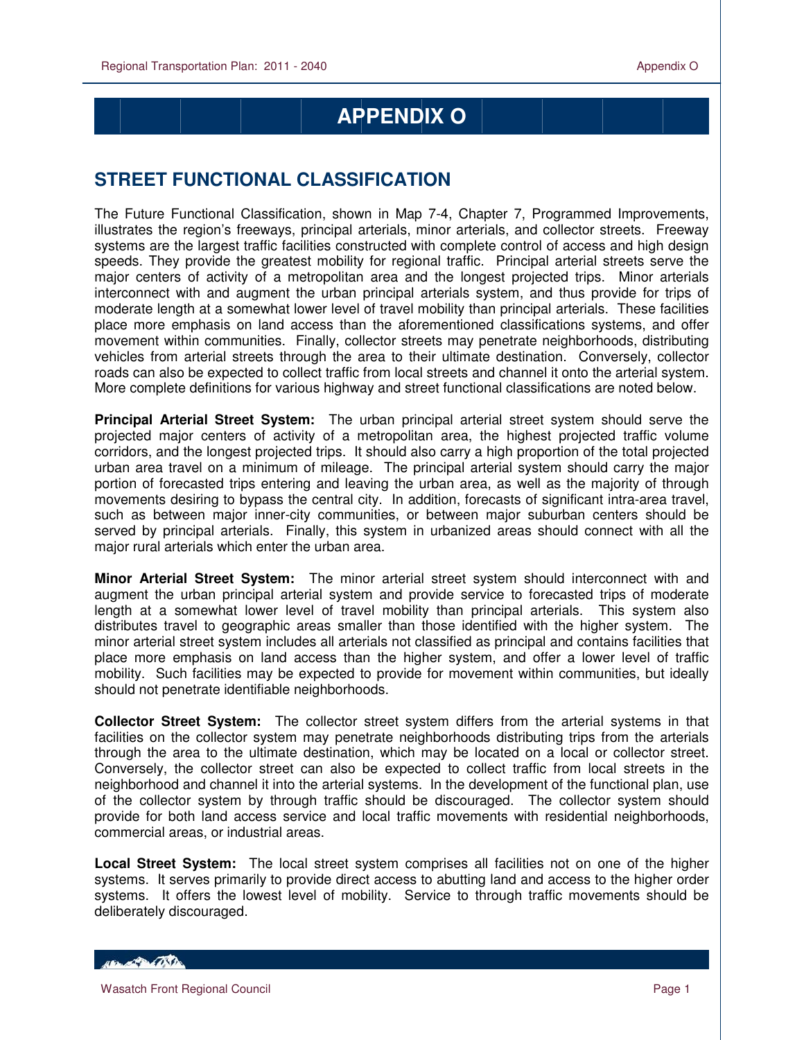## **APPENDIX O**

## **STREET FUNCTIONAL CLASSIFICATION**

The Future Functional Classification, shown in Map 7-4, Chapter 7, Programmed Improvements, illustrates the region's freeways, principal arterials, minor arterials, and collector streets. Freeway systems are the largest traffic facilities constructed with complete control of access and high design speeds. They provide the greatest mobility for regional traffic. Principal arterial streets serve the major centers of activity of a metropolitan area and the longest projected trips. Minor arterials interconnect with and augment the urban principal arterials system, and thus provide for trips of moderate length at a somewhat lower level of travel mobility than principal arterials. These facilities place more emphasis on land access than the aforementioned classifications systems, and offer movement within communities. Finally, collector streets may penetrate neighborhoods, distributing vehicles from arterial streets through the area to their ultimate destination. Conversely, collector roads can also be expected to collect traffic from local streets and channel it onto the arterial system. More complete definitions for various highway and street functional classifications are noted below.

**Principal Arterial Street System:** The urban principal arterial street system should serve the projected major centers of activity of a metropolitan area, the highest projected traffic volume corridors, and the longest projected trips. It should also carry a high proportion of the total projected urban area travel on a minimum of mileage. The principal arterial system should carry the major portion of forecasted trips entering and leaving the urban area, as well as the majority of through movements desiring to bypass the central city. In addition, forecasts of significant intra-area travel, such as between major inner-city communities, or between major suburban centers should be served by principal arterials. Finally, this system in urbanized areas should connect with all the major rural arterials which enter the urban area.

**Minor Arterial Street System:** The minor arterial street system should interconnect with and augment the urban principal arterial system and provide service to forecasted trips of moderate length at a somewhat lower level of travel mobility than principal arterials. This system also distributes travel to geographic areas smaller than those identified with the higher system. The minor arterial street system includes all arterials not classified as principal and contains facilities that place more emphasis on land access than the higher system, and offer a lower level of traffic mobility. Such facilities may be expected to provide for movement within communities, but ideally should not penetrate identifiable neighborhoods.

**Collector Street System:** The collector street system differs from the arterial systems in that facilities on the collector system may penetrate neighborhoods distributing trips from the arterials through the area to the ultimate destination, which may be located on a local or collector street. Conversely, the collector street can also be expected to collect traffic from local streets in the neighborhood and channel it into the arterial systems. In the development of the functional plan, use of the collector system by through traffic should be discouraged. The collector system should provide for both land access service and local traffic movements with residential neighborhoods, commercial areas, or industrial areas.

**Local Street System:** The local street system comprises all facilities not on one of the higher systems. It serves primarily to provide direct access to abutting land and access to the higher order systems. It offers the lowest level of mobility. Service to through traffic movements should be deliberately discouraged.

HELL CONTRACTOR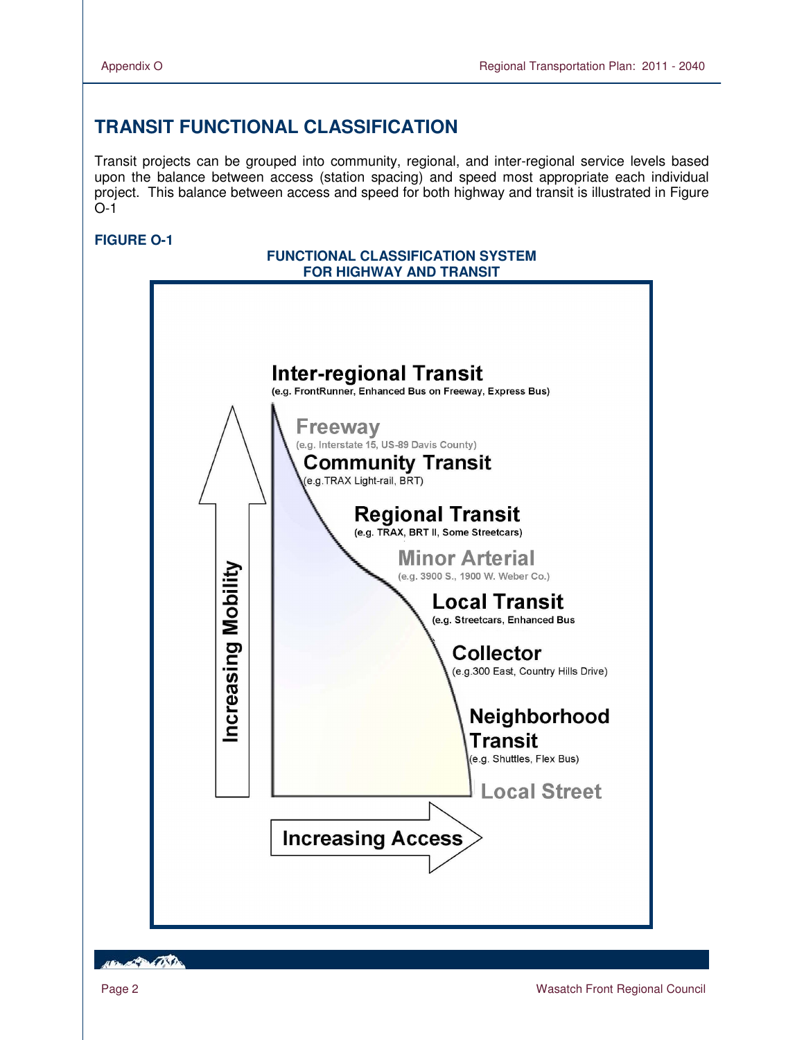## **TRANSIT FUNCTIONAL CLASSIFICATION**

Transit projects can be grouped into community, regional, and inter-regional service levels based upon the balance between access (station spacing) and speed most appropriate each individual project. This balance between access and speed for both highway and transit is illustrated in Figure O-1

## **FIGURE O-1**



**ABLACE AND**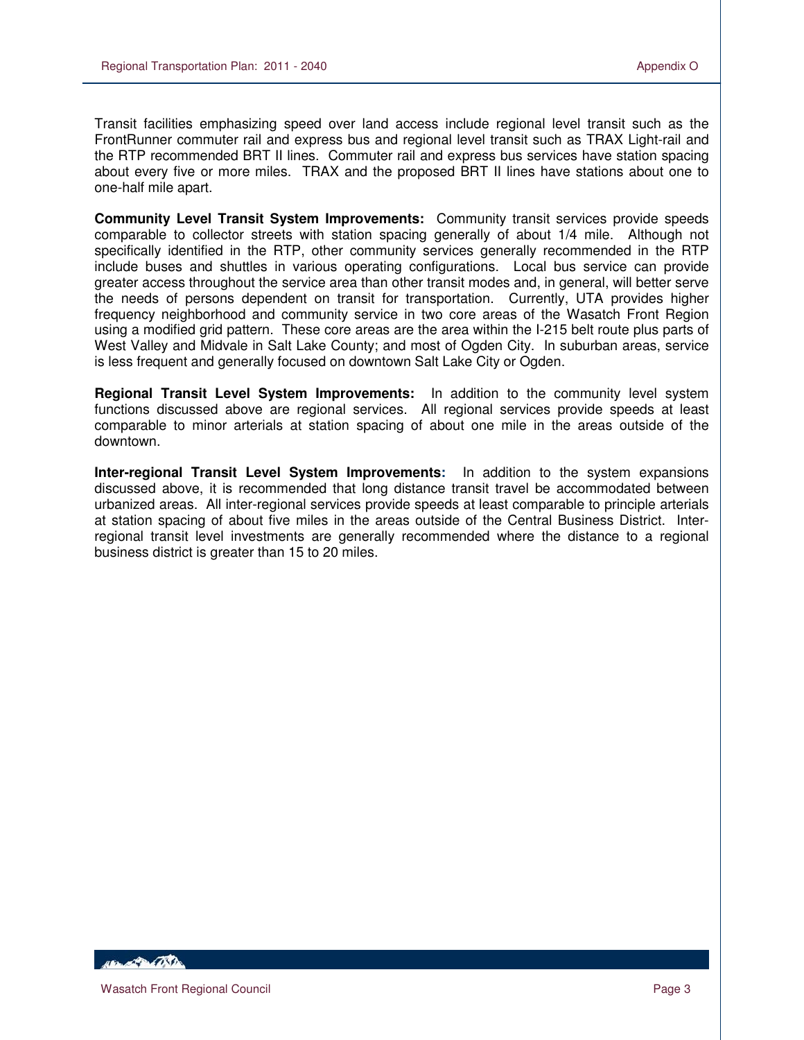Transit facilities emphasizing speed over land access include regional level transit such as the FrontRunner commuter rail and express bus and regional level transit such as TRAX Light-rail and the RTP recommended BRT II lines. Commuter rail and express bus services have station spacing about every five or more miles. TRAX and the proposed BRT II lines have stations about one to one-half mile apart.

**Community Level Transit System Improvements:** Community transit services provide speeds comparable to collector streets with station spacing generally of about 1/4 mile. Although not specifically identified in the RTP, other community services generally recommended in the RTP include buses and shuttles in various operating configurations. Local bus service can provide greater access throughout the service area than other transit modes and, in general, will better serve the needs of persons dependent on transit for transportation. Currently, UTA provides higher frequency neighborhood and community service in two core areas of the Wasatch Front Region using a modified grid pattern. These core areas are the area within the I-215 belt route plus parts of West Valley and Midvale in Salt Lake County; and most of Ogden City. In suburban areas, service is less frequent and generally focused on downtown Salt Lake City or Ogden.

**Regional Transit Level System Improvements:** In addition to the community level system functions discussed above are regional services. All regional services provide speeds at least comparable to minor arterials at station spacing of about one mile in the areas outside of the downtown.

**Inter-regional Transit Level System Improvements:** In addition to the system expansions discussed above, it is recommended that long distance transit travel be accommodated between urbanized areas. All inter-regional services provide speeds at least comparable to principle arterials at station spacing of about five miles in the areas outside of the Central Business District. Interregional transit level investments are generally recommended where the distance to a regional business district is greater than 15 to 20 miles.

**ABLACE DE LA CONTENTE**